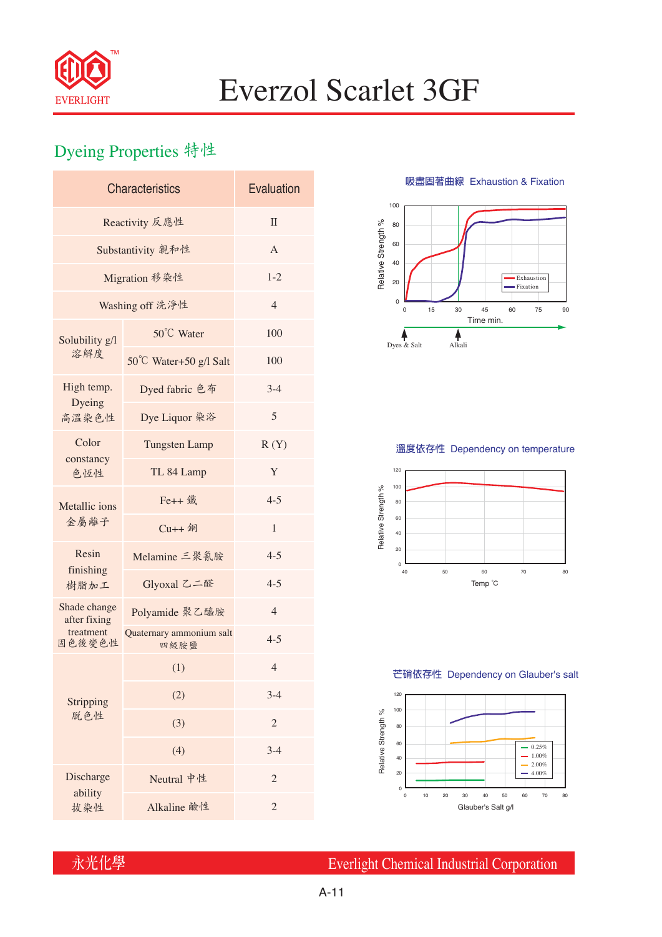

# Everzol Scarlet 3GF

## Dyeing Properties 特性

| <b>Characteristics</b>                              | Evaluation                       |                |  |  |  |
|-----------------------------------------------------|----------------------------------|----------------|--|--|--|
| Reactivity 反應性                                      | $\Pi$                            |                |  |  |  |
| Substantivity 親和性                                   | A                                |                |  |  |  |
| Migration 移染性                                       | $1 - 2$                          |                |  |  |  |
| Washing off 洗淨性                                     | $\overline{4}$                   |                |  |  |  |
| Solubility g/l<br>溶解度                               | 50°C Water                       | 100            |  |  |  |
|                                                     | 50°C Water+50 g/l Salt           | 100            |  |  |  |
| High temp.                                          | Dyed fabric 色布                   | $3-4$          |  |  |  |
| Dyeing<br>高溫染色性                                     | Dye Liquor 染浴                    | 5              |  |  |  |
| Color<br>constancy<br>色恆性                           | <b>Tungsten Lamp</b>             | R(Y)           |  |  |  |
|                                                     | TL 84 Lamp                       | Y              |  |  |  |
| Metallic ions<br>金屬離子                               | Fe++ 鐵                           | $4 - 5$        |  |  |  |
|                                                     | $Cu++4$                          | 1              |  |  |  |
| Resin<br>finishing<br>樹脂加工                          | Melamine 三聚氰胺                    | $4 - 5$        |  |  |  |
|                                                     | Glyoxal 乙二醛                      | $4 - 5$        |  |  |  |
| Shade change<br>after fixing<br>treatment<br>固色後變色性 | Polyamide 聚乙醯胺                   | $\overline{4}$ |  |  |  |
|                                                     | Quaternary ammonium salt<br>四級胺鹽 | $4 - 5$        |  |  |  |
| Stripping<br>脱色性                                    | (1)                              | $\overline{4}$ |  |  |  |
|                                                     | (2)                              | $3-4$          |  |  |  |
|                                                     | (3)                              | $\overline{2}$ |  |  |  |
|                                                     | (4)                              | $3-4$          |  |  |  |
| Discharge<br>ability                                | Neutral 中性                       | $\overline{c}$ |  |  |  |
| 拔染性                                                 | Alkaline 鹼性                      | $\overline{2}$ |  |  |  |

**吸盡固著曲線** Exhaustion & Fixation



### **溫度依存性** Dependency on temperature



#### **芒硝依存性** Dependency on Glauber's salt